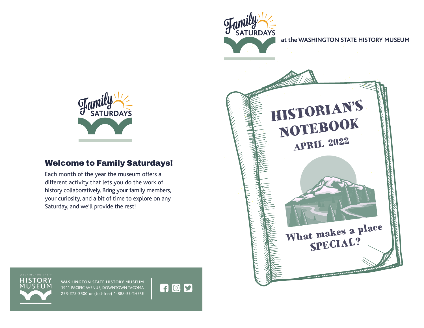

## Welcome to Family Saturdays!

Each month of the year the museum offers a different activity that lets you do the work of history collaboratively. Bring your family members, your curiosity, and a bit of time to explore on any Saturday, and we'll provide the rest!



**WASHINGTON STATE HISTORY MUSEUM** 1911 PACIFIC AVENUE, DOWNTOWN TACOMA 253-272-3500 or (toll-free) 1-888-BE-THERE

**700**